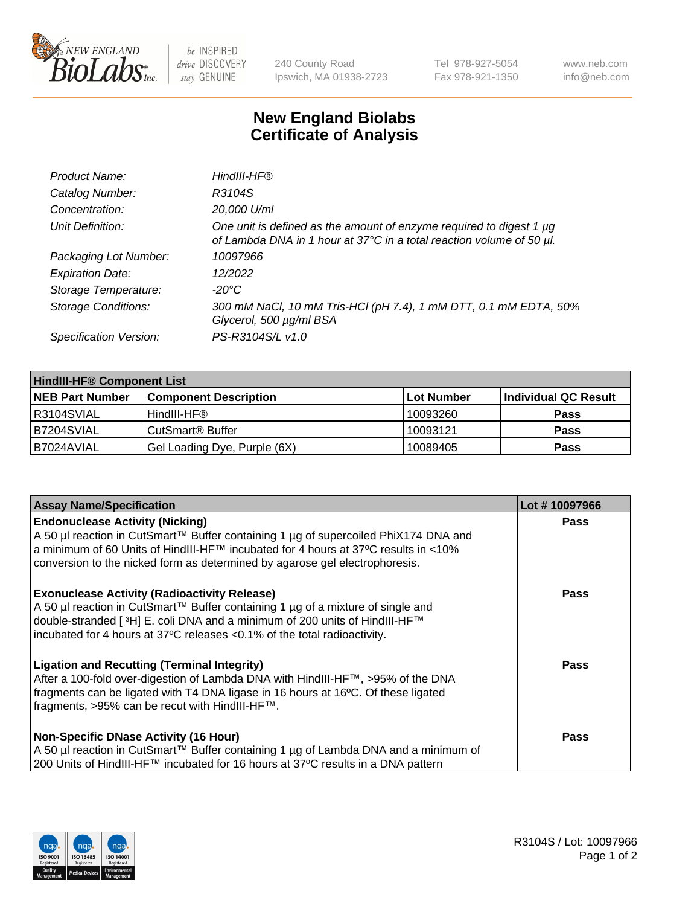

 $be$  INSPIRED drive DISCOVERY stay GENUINE

240 County Road Ipswich, MA 01938-2723 Tel 978-927-5054 Fax 978-921-1350 www.neb.com info@neb.com

## **New England Biolabs Certificate of Analysis**

| Product Name:              | HindIII-HF®                                                                                                                                 |
|----------------------------|---------------------------------------------------------------------------------------------------------------------------------------------|
| Catalog Number:            | R3104S                                                                                                                                      |
| Concentration:             | 20,000 U/ml                                                                                                                                 |
| Unit Definition:           | One unit is defined as the amount of enzyme required to digest 1 µg<br>of Lambda DNA in 1 hour at 37°C in a total reaction volume of 50 µl. |
| Packaging Lot Number:      | 10097966                                                                                                                                    |
| <b>Expiration Date:</b>    | 12/2022                                                                                                                                     |
| Storage Temperature:       | $-20^{\circ}$ C                                                                                                                             |
| <b>Storage Conditions:</b> | 300 mM NaCl, 10 mM Tris-HCl (pH 7.4), 1 mM DTT, 0.1 mM EDTA, 50%<br>Glycerol, 500 µg/ml BSA                                                 |
| Specification Version:     | PS-R3104S/L v1.0                                                                                                                            |

| <b>HindIII-HF® Component List</b> |                                    |                   |                      |  |  |
|-----------------------------------|------------------------------------|-------------------|----------------------|--|--|
| <b>NEB Part Number</b>            | <b>Component Description</b>       | <b>Lot Number</b> | Individual QC Result |  |  |
| R3104SVIAL                        | HindIII-HF®                        | 10093260          | <b>Pass</b>          |  |  |
| B7204SVIAL                        | <b>CutSmart<sup>®</sup> Buffer</b> | 10093121          | <b>Pass</b>          |  |  |
| B7024AVIAL                        | Gel Loading Dye, Purple (6X)       | 10089405          | <b>Pass</b>          |  |  |

| <b>Assay Name/Specification</b>                                                                                                                                                                                                                                                                               | Lot #10097966 |
|---------------------------------------------------------------------------------------------------------------------------------------------------------------------------------------------------------------------------------------------------------------------------------------------------------------|---------------|
| <b>Endonuclease Activity (Nicking)</b><br>  A 50 µl reaction in CutSmart™ Buffer containing 1 µg of supercoiled PhiX174 DNA and<br>  a minimum of 60 Units of HindIII-HF™ incubated for 4 hours at 37ºC results in <10%                                                                                       | <b>Pass</b>   |
| conversion to the nicked form as determined by agarose gel electrophoresis.                                                                                                                                                                                                                                   |               |
| <b>Exonuclease Activity (Radioactivity Release)</b><br>A 50 µl reaction in CutSmart™ Buffer containing 1 µg of a mixture of single and<br>double-stranded [ <sup>3</sup> H] E. coli DNA and a minimum of 200 units of HindIII-HF™<br>incubated for 4 hours at 37°C releases <0.1% of the total radioactivity. | <b>Pass</b>   |
| <b>Ligation and Recutting (Terminal Integrity)</b><br>After a 100-fold over-digestion of Lambda DNA with HindIII-HF™, >95% of the DNA<br>fragments can be ligated with T4 DNA ligase in 16 hours at 16°C. Of these ligated<br>fragments, >95% can be recut with HindIII-HF™.                                  | Pass          |
| <b>Non-Specific DNase Activity (16 Hour)</b><br>A 50 µl reaction in CutSmart™ Buffer containing 1 µg of Lambda DNA and a minimum of                                                                                                                                                                           | <b>Pass</b>   |
| 200 Units of HindIII-HF™ incubated for 16 hours at 37°C results in a DNA pattern                                                                                                                                                                                                                              |               |